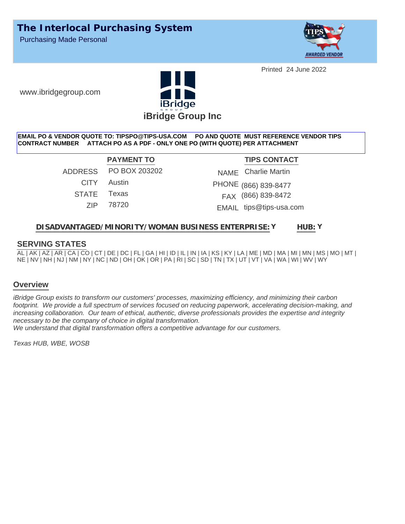

Printed 24 June 2022

www.ibridgegroup.com



#### **EMAIL PO & VENDOR QUOTE TO: TIPSPO@TIPS-USA.COM PO AND QUOTE MUST REFERENCE VENDOR TIPS CONTRACT NUMBER ATTACH PO AS A PDF - ONLY ONE PO (WITH QUOTE) PER ATTACHMENT**

ADDRESS PO BOX 203202 CITY Austin STATE Texas ZIP 78720

**PAYMENT TO TIPS CONTACT** (866) 839-8477 PHONE FAX (866) 839-8472 NAME Charlie Martin EMAIL tips@tips-usa.com

#### **DISADVANTAGED/MINORITY/WOMAN BUSINESS ENTERPRISE: HUB: Y Y**

### **SERVING STATES**

AL | AK | AZ | AR | CA | CO | CT | DE | DC | FL | GA | HI | ID | IL | IN | IA | KS | KY | LA | ME | MD | MA | MI | MN | MS | MO | MT | NE | NV | NH | NJ | NM | NY | NC | ND | OH | OK | OR | PA | RI | SC | SD | TN | TX | UT | VT | VA | WA | WI | WV | WY

#### **Overview**

*iBridge Group exists to transform our customers' processes, maximizing efficiency, and minimizing their carbon footprint. We provide a full spectrum of services focused on reducing paperwork, accelerating decision-making, and increasing collaboration. Our team of ethical, authentic, diverse professionals provides the expertise and integrity necessary to be the company of choice in digital transformation.*

*We understand that digital transformation offers a competitive advantage for our customers.*

*Texas HUB, WBE, WOSB*